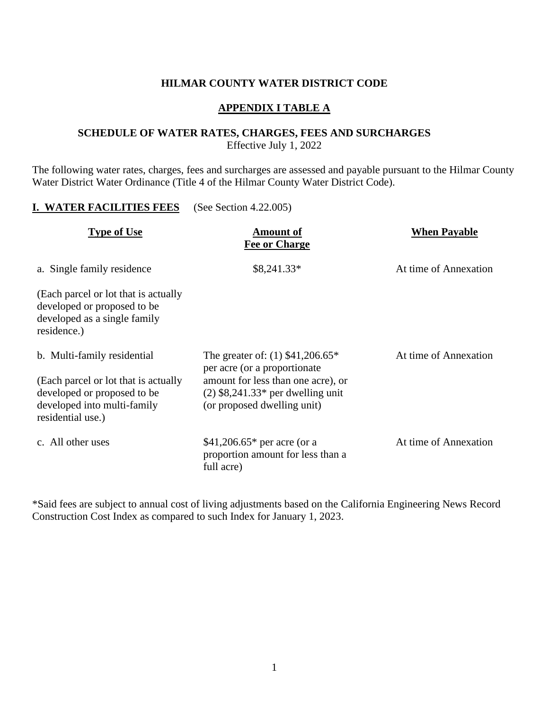#### **HILMAR COUNTY WATER DISTRICT CODE**

#### **APPENDIX I TABLE A**

#### **SCHEDULE OF WATER RATES, CHARGES, FEES AND SURCHARGES** Effective July 1, 2022

The following water rates, charges, fees and surcharges are assessed and payable pursuant to the Hilmar County Water District Water Ordinance (Title 4 of the Hilmar County Water District Code).

#### **I. WATER FACILITIES FEES** (See Section 4.22.005)

| <b>Type of Use</b>                                                                                                                                     | <b>Amount of</b><br><b>Fee or Charge</b>                                                                                                                                       | <b>When Payable</b>   |  |
|--------------------------------------------------------------------------------------------------------------------------------------------------------|--------------------------------------------------------------------------------------------------------------------------------------------------------------------------------|-----------------------|--|
| a. Single family residence                                                                                                                             | $$8,241.33*$                                                                                                                                                                   | At time of Annexation |  |
| (Each parcel or lot that is actually<br>developed or proposed to be<br>developed as a single family<br>residence.)                                     |                                                                                                                                                                                |                       |  |
| b. Multi-family residential<br>(Each parcel or lot that is actually<br>developed or proposed to be<br>developed into multi-family<br>residential use.) | The greater of: $(1)$ \$41,206.65*<br>per acre (or a proportionate<br>amount for less than one acre), or<br>$(2)$ \$8,241.33* per dwelling unit<br>(or proposed dwelling unit) | At time of Annexation |  |
| c. All other uses                                                                                                                                      | \$41,206.65 $*$ per acre (or a<br>proportion amount for less than a<br>full acre)                                                                                              | At time of Annexation |  |

\*Said fees are subject to annual cost of living adjustments based on the California Engineering News Record Construction Cost Index as compared to such Index for January 1, 2023.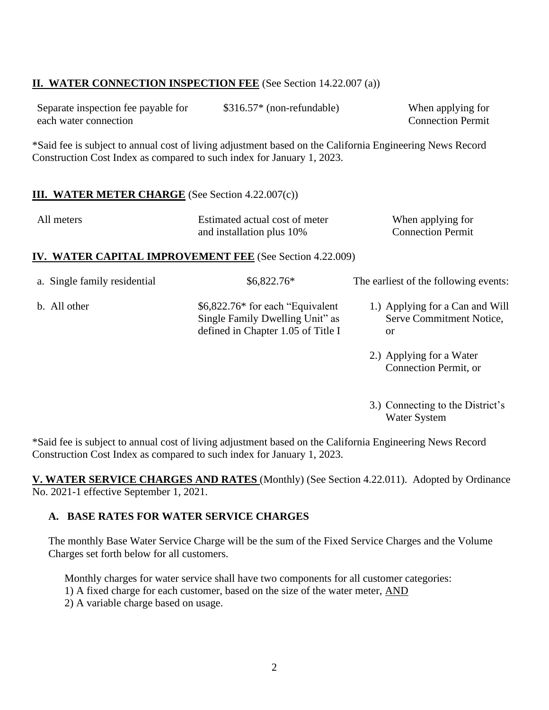# **II. WATER CONNECTION INSPECTION FEE** (See Section 14.22.007 (a))

| Separate inspection fee payable for | $$316.57*$ (non-refundable) | When applying for        |
|-------------------------------------|-----------------------------|--------------------------|
| each water connection               |                             | <b>Connection Permit</b> |

\*Said fee is subject to annual cost of living adjustment based on the California Engineering News Record Construction Cost Index as compared to such index for January 1, 2023.

### **III. WATER METER CHARGE** (See Section 4.22.007(c))

| All meters | Estimated actual cost of meter | When applying for        |
|------------|--------------------------------|--------------------------|
|            | and installation plus 10%      | <b>Connection Permit</b> |

### **IV. WATER CAPITAL IMPROVEMENT FEE** (See Section 4.22.009)

| a. Single family residential | $$6,822.76*$                                                                                               | The earliest of the following events:                             |
|------------------------------|------------------------------------------------------------------------------------------------------------|-------------------------------------------------------------------|
| b. All other                 | \$6,822.76* for each "Equivalent"<br>Single Family Dwelling Unit" as<br>defined in Chapter 1.05 of Title I | 1.) Applying for a Can and Will<br>Serve Commitment Notice,<br>or |
|                              |                                                                                                            | 2.) Applying for a Water<br>Connection Permit, or                 |

3.) Connecting to the District's Water System

\*Said fee is subject to annual cost of living adjustment based on the California Engineering News Record Construction Cost Index as compared to such index for January 1, 2023.

**V. WATER SERVICE CHARGES AND RATES** (Monthly) (See Section 4.22.011). Adopted by Ordinance No. 2021-1 effective September 1, 2021.

#### **A. BASE RATES FOR WATER SERVICE CHARGES**

The monthly Base Water Service Charge will be the sum of the Fixed Service Charges and the Volume Charges set forth below for all customers.

Monthly charges for water service shall have two components for all customer categories:

- 1) A fixed charge for each customer, based on the size of the water meter, AND
- 2) A variable charge based on usage.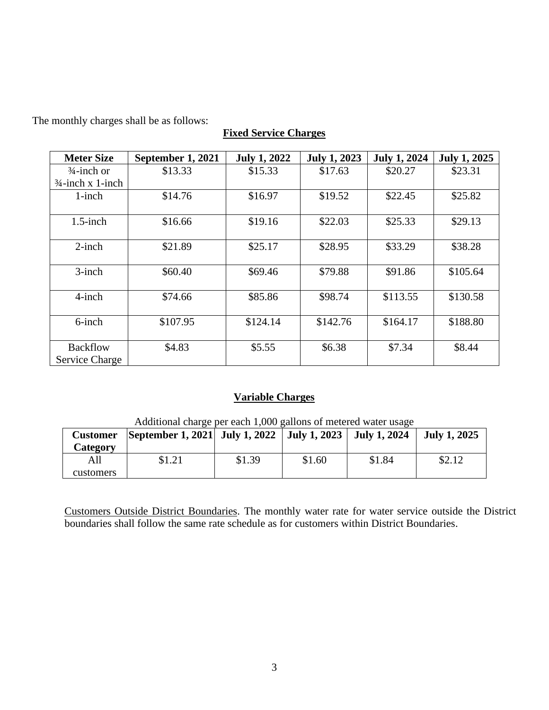The monthly charges shall be as follows:

# **Fixed Service Charges**

| <b>Meter Size</b>                        | September 1, 2021 | <b>July 1, 2022</b> | <b>July 1, 2023</b> | <b>July 1, 2024</b> | <b>July 1, 2025</b> |
|------------------------------------------|-------------------|---------------------|---------------------|---------------------|---------------------|
| $\frac{3}{4}$ -inch or                   | \$13.33           | \$15.33             | \$17.63             | \$20.27             | \$23.31             |
| $\frac{3}{4}$ -inch x 1-inch             |                   |                     |                     |                     |                     |
| $1$ -inch                                | \$14.76           | \$16.97             | \$19.52             | \$22.45             | \$25.82             |
| $1.5$ -inch                              | \$16.66           | \$19.16             | \$22.03             | \$25.33             | \$29.13             |
| $2$ -inch                                | \$21.89           | \$25.17             | \$28.95             | \$33.29             | \$38.28             |
| $3$ -inch                                | \$60.40           | \$69.46             | \$79.88             | \$91.86             | \$105.64            |
| $4$ -inch                                | \$74.66           | \$85.86             | \$98.74             | \$113.55            | \$130.58            |
| 6-inch                                   | \$107.95          | \$124.14            | \$142.76            | \$164.17            | \$188.80            |
| <b>Backflow</b><br><b>Service Charge</b> | \$4.83            | \$5.55              | \$6.38              | \$7.34              | \$8.44              |

# **Variable Charges**

| Additional charge per each 1,000 gallons of metered water usage |                                                          |        |        |        |                     |
|-----------------------------------------------------------------|----------------------------------------------------------|--------|--------|--------|---------------------|
| <b>Customer</b>                                                 | September 1, 2021 July 1, 2022 July 1, 2023 July 1, 2024 |        |        |        | <b>July 1, 2025</b> |
| Category                                                        |                                                          |        |        |        |                     |
| All                                                             | \$1.21                                                   | \$1.39 | \$1.60 | \$1.84 | \$2.12              |
| customers                                                       |                                                          |        |        |        |                     |

 $\Lambda$ dditional charge per each  $1,000$  gallons of metered

Customers Outside District Boundaries. The monthly water rate for water service outside the District boundaries shall follow the same rate schedule as for customers within District Boundaries.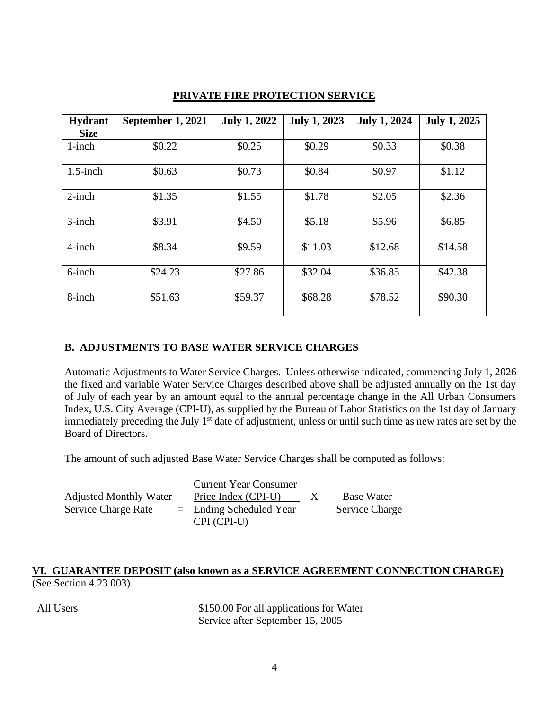| <b>Hydrant</b> | September 1, 2021 | <b>July 1, 2022</b> | <b>July 1, 2023</b> | <b>July 1, 2024</b> | <b>July 1, 2025</b> |
|----------------|-------------------|---------------------|---------------------|---------------------|---------------------|
| <b>Size</b>    |                   |                     |                     |                     |                     |
| $1$ -inch      | \$0.22            | \$0.25              | \$0.29              | \$0.33              | \$0.38              |
| $1.5$ -inch    | \$0.63            | \$0.73              | \$0.84              | \$0.97              | \$1.12              |
| $2$ -inch      | \$1.35            | \$1.55              | \$1.78              | \$2.05              | \$2.36              |
| 3-inch         | \$3.91            | \$4.50              | \$5.18              | \$5.96              | \$6.85              |
| $4$ -inch      | \$8.34            | \$9.59              | \$11.03             | \$12.68             | \$14.58             |
| $6$ -inch      | \$24.23           | \$27.86             | \$32.04             | \$36.85             | \$42.38             |
| 8-inch         | \$51.63           | \$59.37             | \$68.28             | \$78.52             | \$90.30             |

### **PRIVATE FIRE PROTECTION SERVICE**

### **B. ADJUSTMENTS TO BASE WATER SERVICE CHARGES**

Automatic Adjustments to Water Service Charges. Unless otherwise indicated, commencing July 1, 2026 the fixed and variable Water Service Charges described above shall be adjusted annually on the 1st day of July of each year by an amount equal to the annual percentage change in the All Urban Consumers Index, U.S. City Average (CPI-U), as supplied by the Bureau of Labor Statistics on the 1st day of January immediately preceding the July 1<sup>st</sup> date of adjustment, unless or until such time as new rates are set by the Board of Directors.

The amount of such adjusted Base Water Service Charges shall be computed as follows:

|                               | <b>Current Year Consumer</b>             |                       |
|-------------------------------|------------------------------------------|-----------------------|
| <b>Adjusted Monthly Water</b> | Price Index (CPI-U)                      | <b>Base Water</b>     |
| <b>Service Charge Rate</b>    | $=$ Ending Scheduled Year<br>CPI (CPI-U) | <b>Service Charge</b> |

### **VI. GUARANTEE DEPOSIT (also known as a SERVICE AGREEMENT CONNECTION CHARGE)** (See Section 4.23.003)

All Users \$150.00 For all applications for Water Service after September 15, 2005